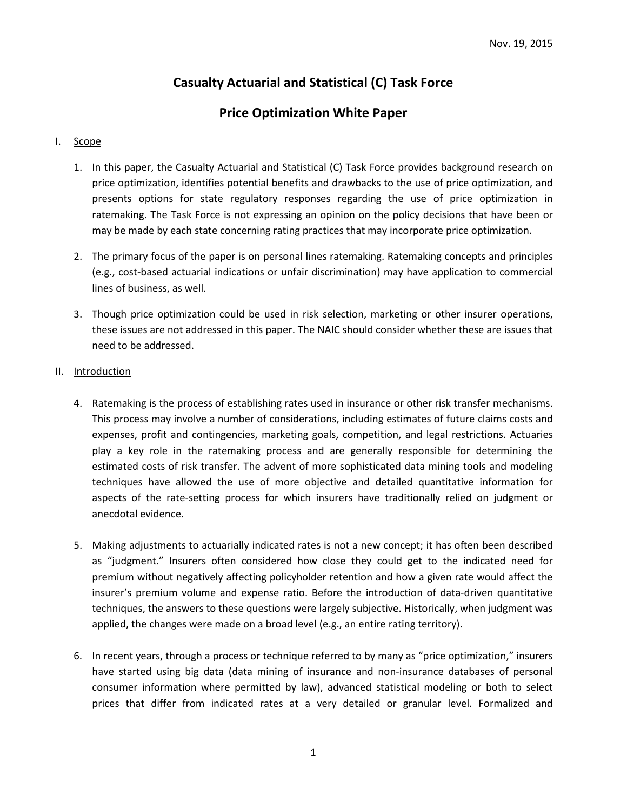# **Casualty Actuarial and Statistical (C) Task Force**

## **Price Optimization White Paper**

## I. Scope

- 1. In this paper, the Casualty Actuarial and Statistical (C) Task Force provides background research on price optimization, identifies potential benefits and drawbacks to the use of price optimization, and presents options for state regulatory responses regarding the use of price optimization in ratemaking. The Task Force is not expressing an opinion on the policy decisions that have been or may be made by each state concerning rating practices that may incorporate price optimization.
- 2. The primary focus of the paper is on personal lines ratemaking. Ratemaking concepts and principles (e.g., cost-based actuarial indications or unfair discrimination) may have application to commercial lines of business, as well.
- 3. Though price optimization could be used in risk selection, marketing or other insurer operations, these issues are not addressed in this paper. The NAIC should consider whether these are issues that need to be addressed.

## II. Introduction

- 4. Ratemaking is the process of establishing rates used in insurance or other risk transfer mechanisms. This process may involve a number of considerations, including estimates of future claims costs and expenses, profit and contingencies, marketing goals, competition, and legal restrictions. Actuaries play a key role in the ratemaking process and are generally responsible for determining the estimated costs of risk transfer. The advent of more sophisticated data mining tools and modeling techniques have allowed the use of more objective and detailed quantitative information for aspects of the rate-setting process for which insurers have traditionally relied on judgment or anecdotal evidence.
- 5. Making adjustments to actuarially indicated rates is not a new concept; it has often been described as "judgment." Insurers often considered how close they could get to the indicated need for premium without negatively affecting policyholder retention and how a given rate would affect the insurer's premium volume and expense ratio. Before the introduction of data-driven quantitative techniques, the answers to these questions were largely subjective. Historically, when judgment was applied, the changes were made on a broad level (e.g., an entire rating territory).
- 6. In recent years, through a process or technique referred to by many as "price optimization," insurers have started using big data (data mining of insurance and non-insurance databases of personal consumer information where permitted by law), advanced statistical modeling or both to select prices that differ from indicated rates at a very detailed or granular level. Formalized and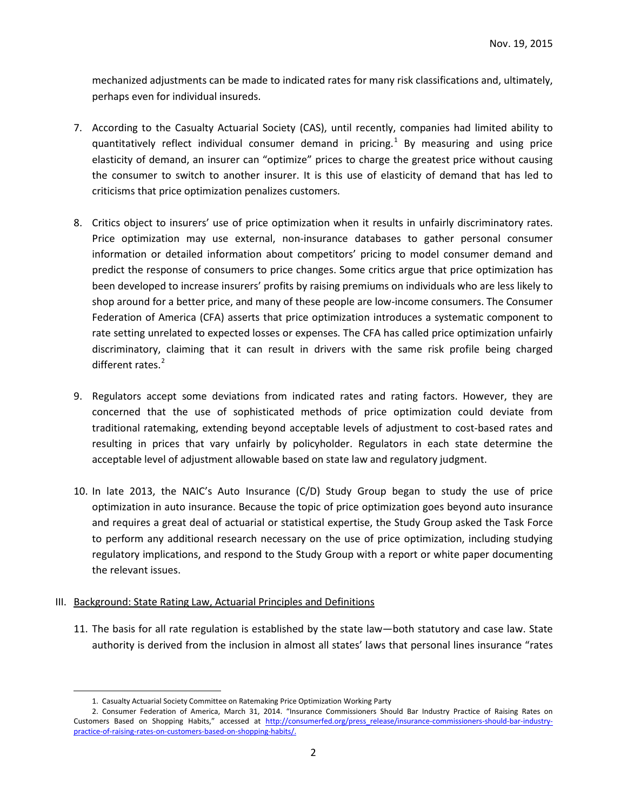mechanized adjustments can be made to indicated rates for many risk classifications and, ultimately, perhaps even for individual insureds.

- 7. According to the Casualty Actuarial Society (CAS), until recently, companies had limited ability to quantitatively reflect individual consumer demand in pricing.<sup>[1](#page-1-0)</sup> By measuring and using price elasticity of demand, an insurer can "optimize" prices to charge the greatest price without causing the consumer to switch to another insurer. It is this use of elasticity of demand that has led to criticisms that price optimization penalizes customers.
- 8. Critics object to insurers' use of price optimization when it results in unfairly discriminatory rates. Price optimization may use external, non-insurance databases to gather personal consumer information or detailed information about competitors' pricing to model consumer demand and predict the response of consumers to price changes. Some critics argue that price optimization has been developed to increase insurers' profits by raising premiums on individuals who are less likely to shop around for a better price, and many of these people are low-income consumers. The Consumer Federation of America (CFA) asserts that price optimization introduces a systematic component to rate setting unrelated to expected losses or expenses. The CFA has called price optimization unfairly discriminatory, claiming that it can result in drivers with the same risk profile being charged different rates. $2$
- 9. Regulators accept some deviations from indicated rates and rating factors. However, they are concerned that the use of sophisticated methods of price optimization could deviate from traditional ratemaking, extending beyond acceptable levels of adjustment to cost-based rates and resulting in prices that vary unfairly by policyholder. Regulators in each state determine the acceptable level of adjustment allowable based on state law and regulatory judgment.
- 10. In late 2013, the NAIC's Auto Insurance (C/D) Study Group began to study the use of price optimization in auto insurance. Because the topic of price optimization goes beyond auto insurance and requires a great deal of actuarial or statistical expertise, the Study Group asked the Task Force to perform any additional research necessary on the use of price optimization, including studying regulatory implications, and respond to the Study Group with a report or white paper documenting the relevant issues.

## III. Background: State Rating Law, Actuarial Principles and Definitions

11. The basis for all rate regulation is established by the state law—both statutory and case law. State authority is derived from the inclusion in almost all states' laws that personal lines insurance "rates

 <sup>1.</sup> Casualty Actuarial Society Committee on Ratemaking Price Optimization Working Party

<span id="page-1-1"></span><span id="page-1-0"></span><sup>2.</sup> Consumer Federation of America, March 31, 2014. "Insurance Commissioners Should Bar Industry Practice of Raising Rates on Customers Based on Shopping Habits," accessed at [http://consumerfed.org/press\\_release/insurance-commissioners-should-bar-industry](http://consumerfed.org/press_release/insurance-commissioners-should-bar-industry-practice-of-raising-rates-on-customers-based-on-shopping-habits/)[practice-of-raising-rates-on-customers-based-on-shopping-habits/.](http://consumerfed.org/press_release/insurance-commissioners-should-bar-industry-practice-of-raising-rates-on-customers-based-on-shopping-habits/)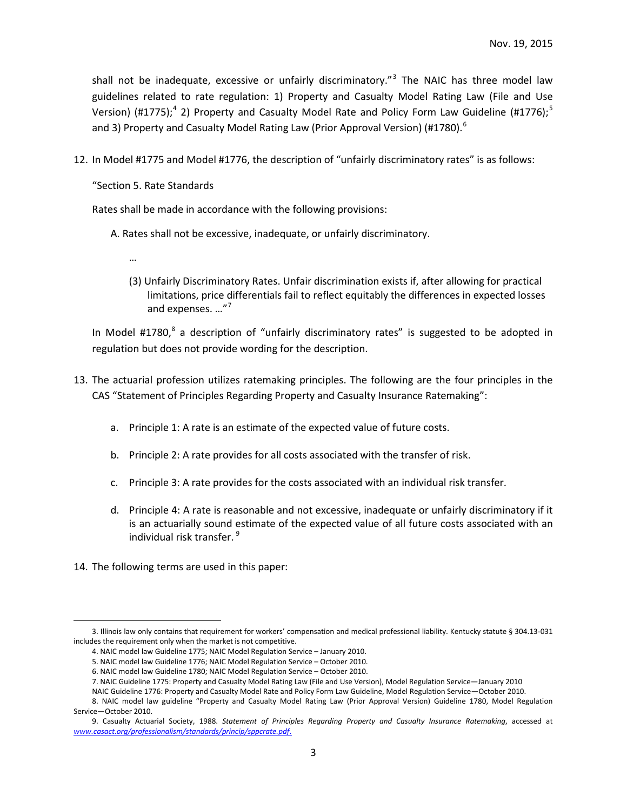shall not be inadequate, excessive or unfairly discriminatory."<sup>[3](#page-2-0)</sup> The NAIC has three model law guidelines related to rate regulation: 1) Property and Casualty Model Rating Law (File and Use Version) (#1775);<sup>[4](#page-2-1)</sup> 2) Property and Casualty Model Rate and Policy Form Law Guideline (#1776);<sup>[5](#page-2-2)</sup> and 3) Property and Casualty Model Rating Law (Prior Approval Version) (#1780).<sup>[6](#page-2-3)</sup>

12. In Model #1775 and Model #1776, the description of "unfairly discriminatory rates" is as follows:

"Section 5. Rate Standards

Rates shall be made in accordance with the following provisions:

A. Rates shall not be excessive, inadequate, or unfairly discriminatory.

- …
- (3) Unfairly Discriminatory Rates. Unfair discrimination exists if, after allowing for practical limitations, price differentials fail to reflect equitably the differences in expected losses and expenses. ..."<sup>[7](#page-2-4)</sup>

In Model #17[8](#page-2-5)0,<sup>8</sup> a description of "unfairly discriminatory rates" is suggested to be adopted in regulation but does not provide wording for the description.

- 13. The actuarial profession utilizes ratemaking principles. The following are the four principles in the CAS "Statement of Principles Regarding Property and Casualty Insurance Ratemaking":
	- a. Principle 1: A rate is an estimate of the expected value of future costs.
	- b. Principle 2: A rate provides for all costs associated with the transfer of risk.
	- c. Principle 3: A rate provides for the costs associated with an individual risk transfer.
	- d. Principle 4: A rate is reasonable and not excessive, inadequate or unfairly discriminatory if it is an actuarially sound estimate of the expected value of all future costs associated with an individual risk transfer. [9](#page-2-6)
- 14. The following terms are used in this paper:

<span id="page-2-2"></span><span id="page-2-1"></span><span id="page-2-0"></span> <sup>3.</sup> Illinois law only contains that requirement for workers' compensation and medical professional liability. Kentucky statute § 304.13-031 includes the requirement only when the market is not competitive.

<sup>4.</sup> NAIC model law Guideline 1775; NAIC Model Regulation Service – January 2010.

<sup>5.</sup> NAIC model law Guideline 1776; NAIC Model Regulation Service – October 2010.

<sup>6.</sup> NAIC model law Guideline 1780; NAIC Model Regulation Service – October 2010.

<sup>7.</sup> NAIC Guideline 1775: Property and Casualty Model Rating Law (File and Use Version), Model Regulation Service—January 2010

NAIC Guideline 1776: Property and Casualty Model Rate and Policy Form Law Guideline, Model Regulation Service—October 2010.

<span id="page-2-5"></span><span id="page-2-4"></span><span id="page-2-3"></span><sup>8.</sup> NAIC model law guideline "Property and Casualty Model Rating Law (Prior Approval Version) Guideline 1780, Model Regulation Service—October 2010.

<span id="page-2-6"></span><sup>9.</sup> Casualty Actuarial Society, 1988. *Statement of Principles Regarding Property and Casualty Insurance Ratemaking*, accessed at *[www.casact.org/professionalism/standards/princip/sppcrate.pdf](http://www.casact.org/professionalism/standards/princip/sppcrate.pdf)*.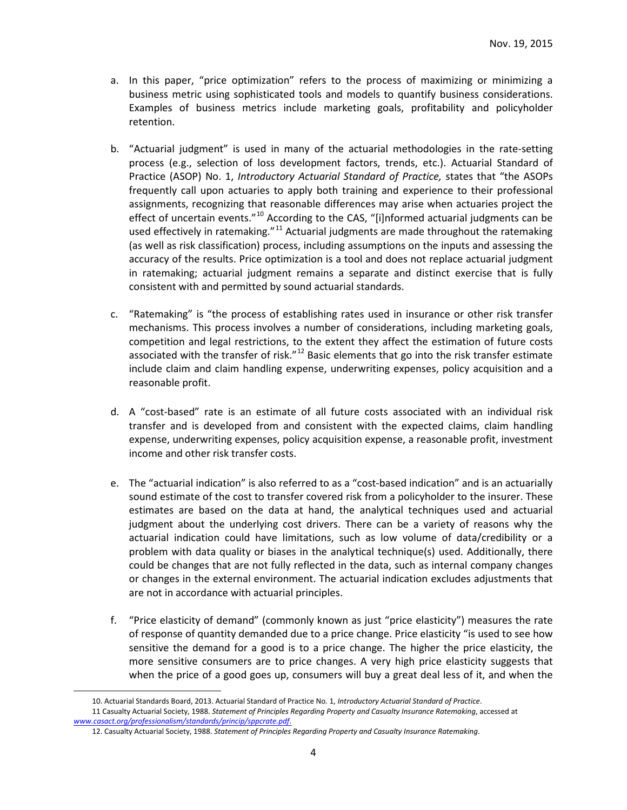- a. In this paper, "price optimization" refers to the process of maximizing or minimizing a business metric using sophisticated tools and models to quantify business considerations. Examples of business metrics include marketing goals, profitability and policyholder retention.
- b. "Actuarial judgment" is used in many of the actuarial methodologies in the rate-setting process (e.g., selection of loss development factors, trends, etc.). Actuarial Standard of Practice (ASOP) No. 1, *Introductory Actuarial Standard of Practice,* states that "the ASOPs frequently call upon actuaries to apply both training and experience to their professional assignments, recognizing that reasonable differences may arise when actuaries project the effect of uncertain events."<sup>[10](#page-3-0)</sup> According to the CAS, "[i]nformed actuarial judgments can be used effectively in ratemaking."<sup>[11](#page-3-1)</sup> Actuarial judgments are made throughout the ratemaking (as well as risk classification) process, including assumptions on the inputs and assessing the accuracy of the results. Price optimization is a tool and does not replace actuarial judgment in ratemaking; actuarial judgment remains a separate and distinct exercise that is fully consistent with and permitted by sound actuarial standards.
- c. "Ratemaking" is "the process of establishing rates used in insurance or other risk transfer mechanisms. This process involves a number of considerations, including marketing goals, competition and legal restrictions, to the extent they affect the estimation of future costs associated with the transfer of risk." $^{12}$  $^{12}$  $^{12}$  Basic elements that go into the risk transfer estimate include claim and claim handling expense, underwriting expenses, policy acquisition and a reasonable profit.
- d. A "cost-based" rate is an estimate of all future costs associated with an individual risk transfer and is developed from and consistent with the expected claims, claim handling expense, underwriting expenses, policy acquisition expense, a reasonable profit, investment income and other risk transfer costs.
- e. The "actuarial indication" is also referred to as a "cost-based indication" and is an actuarially sound estimate of the cost to transfer covered risk from a policyholder to the insurer. These estimates are based on the data at hand, the analytical techniques used and actuarial judgment about the underlying cost drivers. There can be a variety of reasons why the actuarial indication could have limitations, such as low volume of data/credibility or a problem with data quality or biases in the analytical technique(s) used. Additionally, there could be changes that are not fully reflected in the data, such as internal company changes or changes in the external environment. The actuarial indication excludes adjustments that are not in accordance with actuarial principles.
- f. "Price elasticity of demand" (commonly known as just "price elasticity") measures the rate of response of quantity demanded due to a price change. Price elasticity "is used to see how sensitive the demand for a good is to a price change. The higher the price elasticity, the more sensitive consumers are to price changes. A very high price elasticity suggests that when the price of a good goes up, consumers will buy a great deal less of it, and when the

<span id="page-3-2"></span><span id="page-3-1"></span><span id="page-3-0"></span> <sup>10.</sup> Actuarial Standards Board, 2013. Actuarial Standard of Practice No. 1, *Introductory Actuarial Standard of Practice*. 11 Casualty Actuarial Society, 1988. *Statement of Principles Regarding Property and Casualty Insurance Ratemaking*, accessed at *[www.casact.org/professionalism/standards/princip/sppcrate.pdf](http://www.casact.org/professionalism/standards/princip/sppcrate.pdf)*.

<sup>12.</sup> Casualty Actuarial Society, 1988. *Statement of Principles Regarding Property and Casualty Insurance Ratemaking*.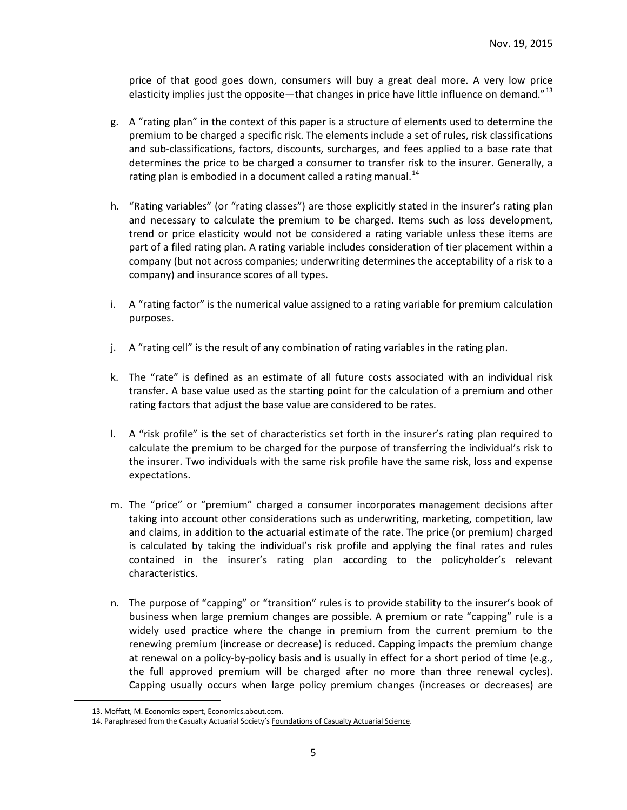price of that good goes down, consumers will buy a great deal more. A very low price elasticity implies just the opposite—that changes in price have little influence on demand."<sup>[13](#page-4-0)</sup>

- g. A "rating plan" in the context of this paper is a structure of elements used to determine the premium to be charged a specific risk. The elements include a set of rules, risk classifications and sub-classifications, factors, discounts, surcharges, and fees applied to a base rate that determines the price to be charged a consumer to transfer risk to the insurer. Generally, a rating plan is embodied in a document called a rating manual.<sup>[14](#page-4-1)</sup>
- h. "Rating variables" (or "rating classes") are those explicitly stated in the insurer's rating plan and necessary to calculate the premium to be charged. Items such as loss development, trend or price elasticity would not be considered a rating variable unless these items are part of a filed rating plan. A rating variable includes consideration of tier placement within a company (but not across companies; underwriting determines the acceptability of a risk to a company) and insurance scores of all types.
- i. A "rating factor" is the numerical value assigned to a rating variable for premium calculation purposes.
- j. A "rating cell" is the result of any combination of rating variables in the rating plan.
- k. The "rate" is defined as an estimate of all future costs associated with an individual risk transfer. A base value used as the starting point for the calculation of a premium and other rating factors that adjust the base value are considered to be rates.
- l. A "risk profile" is the set of characteristics set forth in the insurer's rating plan required to calculate the premium to be charged for the purpose of transferring the individual's risk to the insurer. Two individuals with the same risk profile have the same risk, loss and expense expectations.
- m. The "price" or "premium" charged a consumer incorporates management decisions after taking into account other considerations such as underwriting, marketing, competition, law and claims, in addition to the actuarial estimate of the rate. The price (or premium) charged is calculated by taking the individual's risk profile and applying the final rates and rules contained in the insurer's rating plan according to the policyholder's relevant characteristics.
- n. The purpose of "capping" or "transition" rules is to provide stability to the insurer's book of business when large premium changes are possible. A premium or rate "capping" rule is a widely used practice where the change in premium from the current premium to the renewing premium (increase or decrease) is reduced. Capping impacts the premium change at renewal on a policy-by-policy basis and is usually in effect for a short period of time (e.g., the full approved premium will be charged after no more than three renewal cycles). Capping usually occurs when large policy premium changes (increases or decreases) are

<span id="page-4-0"></span> <sup>13.</sup> Moffatt, M. Economics expert, Economics.about.com.

<span id="page-4-1"></span><sup>14.</sup> Paraphrased from the Casualty Actuarial Society's Foundations of Casualty Actuarial Science.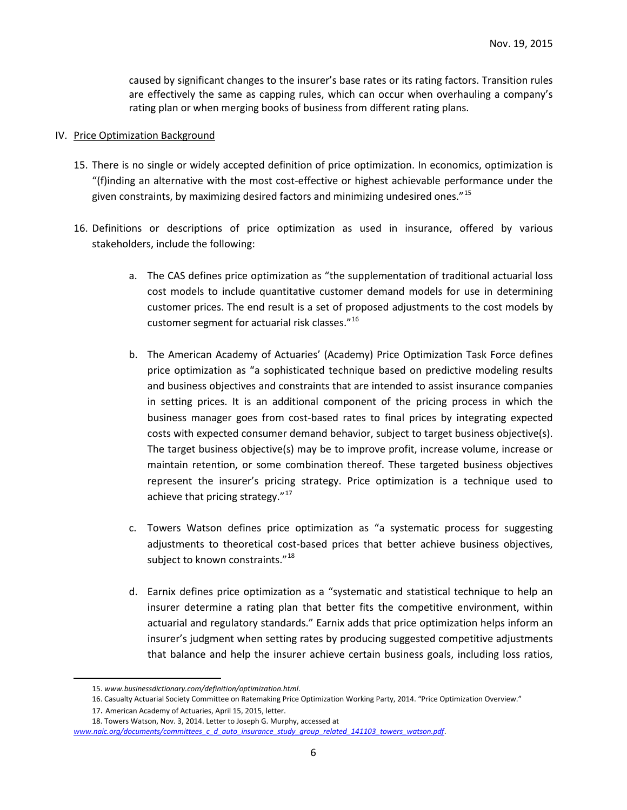caused by significant changes to the insurer's base rates or its rating factors. Transition rules are effectively the same as capping rules, which can occur when overhauling a company's rating plan or when merging books of business from different rating plans.

#### IV. Price Optimization Background

- 15. There is no single or widely accepted definition of price optimization. In economics, optimization is "(f)inding an alternative with the most cost-effective or highest achievable performance under the given constraints, by maximizing desired factors and minimizing undesired ones."[15](#page-5-0)
- 16. Definitions or descriptions of price optimization as used in insurance, offered by various stakeholders, include the following:
	- a. The CAS defines price optimization as "the supplementation of traditional actuarial loss cost models to include quantitative customer demand models for use in determining customer prices. The end result is a set of proposed adjustments to the cost models by customer segment for actuarial risk classes."[16](#page-5-1)
	- b. The American Academy of Actuaries' (Academy) Price Optimization Task Force defines price optimization as "a sophisticated technique based on predictive modeling results and business objectives and constraints that are intended to assist insurance companies in setting prices. It is an additional component of the pricing process in which the business manager goes from cost-based rates to final prices by integrating expected costs with expected consumer demand behavior, subject to target business objective(s). The target business objective(s) may be to improve profit, increase volume, increase or maintain retention, or some combination thereof. These targeted business objectives represent the insurer's pricing strategy. Price optimization is a technique used to achieve that pricing strategy. $17$
	- c. Towers Watson defines price optimization as "a systematic process for suggesting adjustments to theoretical cost-based prices that better achieve business objectives, subject to known constraints."<sup>[18](#page-5-3)</sup>
	- d. Earnix defines price optimization as a "systematic and statistical technique to help an insurer determine a rating plan that better fits the competitive environment, within actuarial and regulatory standards." Earnix adds that price optimization helps inform an insurer's judgment when setting rates by producing suggested competitive adjustments that balance and help the insurer achieve certain business goals, including loss ratios,

 <sup>15.</sup> *www.businessdictionary.com/definition/optimization.html*.

<sup>16.</sup> Casualty Actuarial Society Committee on Ratemaking Price Optimization Working Party, 2014. "Price Optimization Overview."

<sup>17.</sup> American Academy of Actuaries, April 15, 2015, letter.

<sup>18.</sup> Towers Watson, Nov. 3, 2014. Letter to Joseph G. Murphy, accessed at

<span id="page-5-3"></span><span id="page-5-2"></span><span id="page-5-1"></span><span id="page-5-0"></span>*[www.naic.org/documents/committees\\_c\\_d\\_auto\\_insurance\\_study\\_group\\_related\\_141103\\_towers\\_watson.pdf](http://www.naic.org/documents/committees_c_d_auto_insurance_study_group_related_141103_towers_watson.pdf)*.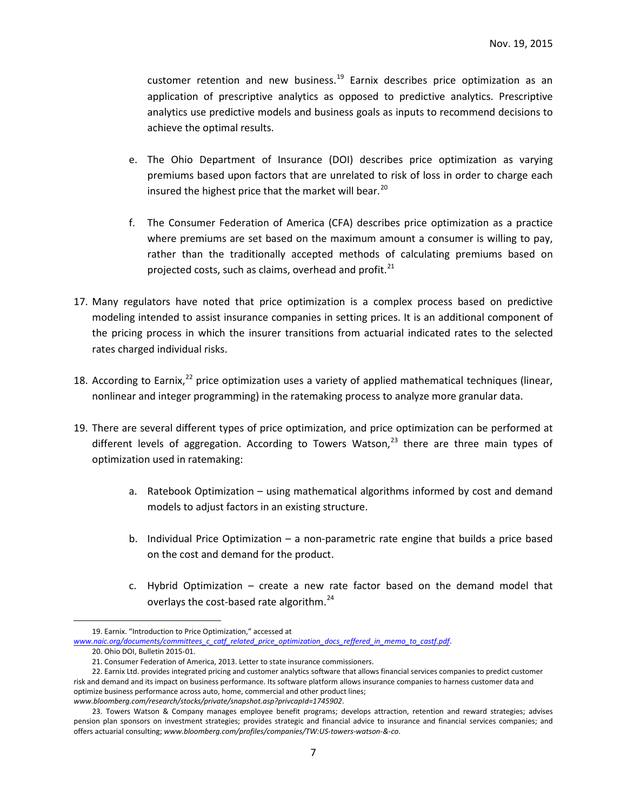customer retention and new business.<sup>[19](#page-6-0)</sup> Earnix describes price optimization as an application of prescriptive analytics as opposed to predictive analytics. Prescriptive analytics use predictive models and business goals as inputs to recommend decisions to achieve the optimal results.

- e. The Ohio Department of Insurance (DOI) describes price optimization as varying premiums based upon factors that are unrelated to risk of loss in order to charge each insured the highest price that the market will bear.<sup>[20](#page-6-1)</sup>
- f. The Consumer Federation of America (CFA) describes price optimization as a practice where premiums are set based on the maximum amount a consumer is willing to pay, rather than the traditionally accepted methods of calculating premiums based on projected costs, such as claims, overhead and profit.<sup>[21](#page-6-2)</sup>
- 17. Many regulators have noted that price optimization is a complex process based on predictive modeling intended to assist insurance companies in setting prices. It is an additional component of the pricing process in which the insurer transitions from actuarial indicated rates to the selected rates charged individual risks.
- 18. According to Earnix,<sup>[22](#page-6-3)</sup> price optimization uses a variety of applied mathematical techniques (linear, nonlinear and integer programming) in the ratemaking process to analyze more granular data.
- 19. There are several different types of price optimization, and price optimization can be performed at different levels of aggregation. According to Towers Watson, $^{23}$  $^{23}$  $^{23}$  there are three main types of optimization used in ratemaking:
	- a. Ratebook Optimization using mathematical algorithms informed by cost and demand models to adjust factors in an existing structure.
	- b. Individual Price Optimization a non-parametric rate engine that builds a price based on the cost and demand for the product.
	- c. Hybrid Optimization create a new rate factor based on the demand model that overlays the cost-based rate algorithm.<sup>[24](#page-6-5)</sup>

 <sup>19.</sup> Earnix. "Introduction to Price Optimization," accessed at

<span id="page-6-1"></span><span id="page-6-0"></span>*www.naic.org/documents/committees\_c\_catf\_related\_price\_optimization\_docs\_reffered\_in\_memo\_to\_castf.pdf*. 20. Ohio DOI, Bulletin 2015-01.

<sup>21.</sup> Consumer Federation of America, 2013. Letter to state insurance commissioners.

<span id="page-6-3"></span><span id="page-6-2"></span><sup>22.</sup> Earnix Ltd. provides integrated pricing and customer analytics software that allows financial services companies to predict customer risk and demand and its impact on business performance. Its software platform allows insurance companies to harness customer data and optimize business performance across auto, home, commercial and other product lines; *www.bloomberg.com/research/stocks/private/snapshot.asp?privcapId=1745902*.

<span id="page-6-5"></span><span id="page-6-4"></span><sup>23.</sup> Towers Watson & Company manages employee benefit programs; develops attraction, retention and reward strategies; advises pension plan sponsors on investment strategies; provides strategic and financial advice to insurance and financial services companies; and offers actuarial consulting; *www.bloomberg.com/profiles/companies/TW:US-towers-watson-&-co*.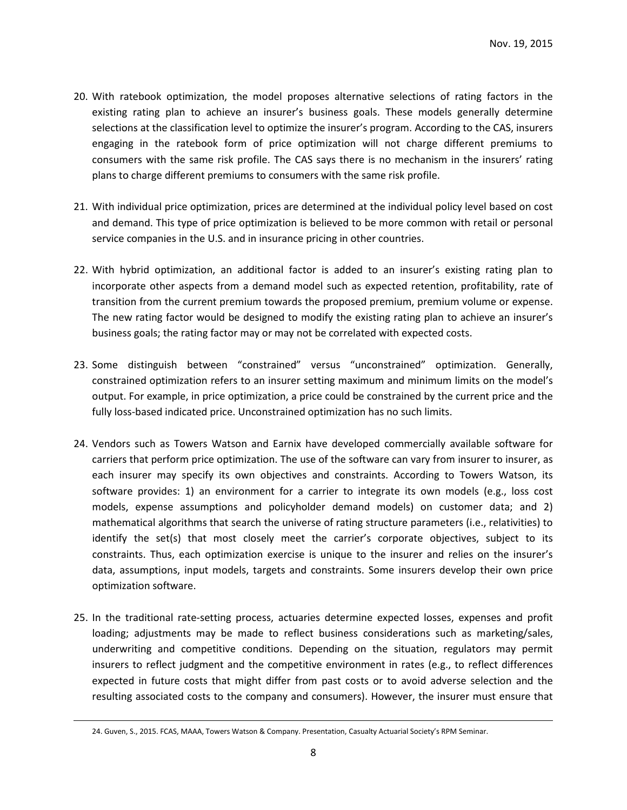- 20. With ratebook optimization, the model proposes alternative selections of rating factors in the existing rating plan to achieve an insurer's business goals. These models generally determine selections at the classification level to optimize the insurer's program. According to the CAS, insurers engaging in the ratebook form of price optimization will not charge different premiums to consumers with the same risk profile. The CAS says there is no mechanism in the insurers' rating plans to charge different premiums to consumers with the same risk profile.
- 21. With individual price optimization, prices are determined at the individual policy level based on cost and demand. This type of price optimization is believed to be more common with retail or personal service companies in the U.S. and in insurance pricing in other countries.
- 22. With hybrid optimization, an additional factor is added to an insurer's existing rating plan to incorporate other aspects from a demand model such as expected retention, profitability, rate of transition from the current premium towards the proposed premium, premium volume or expense. The new rating factor would be designed to modify the existing rating plan to achieve an insurer's business goals; the rating factor may or may not be correlated with expected costs.
- 23. Some distinguish between "constrained" versus "unconstrained" optimization. Generally, constrained optimization refers to an insurer setting maximum and minimum limits on the model's output. For example, in price optimization, a price could be constrained by the current price and the fully loss-based indicated price. Unconstrained optimization has no such limits.
- 24. Vendors such as Towers Watson and Earnix have developed commercially available software for carriers that perform price optimization. The use of the software can vary from insurer to insurer, as each insurer may specify its own objectives and constraints. According to Towers Watson, its software provides: 1) an environment for a carrier to integrate its own models (e.g., loss cost models, expense assumptions and policyholder demand models) on customer data; and 2) mathematical algorithms that search the universe of rating structure parameters (i.e., relativities) to identify the set(s) that most closely meet the carrier's corporate objectives, subject to its constraints. Thus, each optimization exercise is unique to the insurer and relies on the insurer's data, assumptions, input models, targets and constraints. Some insurers develop their own price optimization software.
- 25. In the traditional rate-setting process, actuaries determine expected losses, expenses and profit loading; adjustments may be made to reflect business considerations such as marketing/sales, underwriting and competitive conditions. Depending on the situation, regulators may permit insurers to reflect judgment and the competitive environment in rates (e.g., to reflect differences expected in future costs that might differ from past costs or to avoid adverse selection and the resulting associated costs to the company and consumers). However, the insurer must ensure that

 <sup>24.</sup> Guven, S., 2015. FCAS, MAAA, Towers Watson & Company. Presentation, Casualty Actuarial Society's RPM Seminar.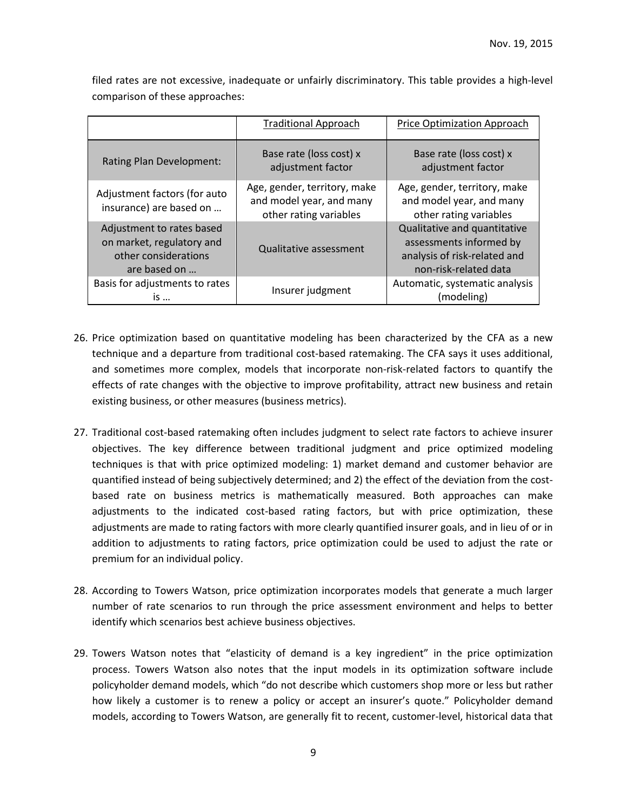|                                                                                                | <b>Traditional Approach</b>                                                        | Price Optimization Approach                                                                                      |
|------------------------------------------------------------------------------------------------|------------------------------------------------------------------------------------|------------------------------------------------------------------------------------------------------------------|
| Rating Plan Development:                                                                       | Base rate (loss cost) x<br>adjustment factor                                       | Base rate (loss cost) x<br>adjustment factor                                                                     |
| Adjustment factors (for auto<br>insurance) are based on                                        | Age, gender, territory, make<br>and model year, and many<br>other rating variables | Age, gender, territory, make<br>and model year, and many<br>other rating variables                               |
| Adjustment to rates based<br>on market, regulatory and<br>other considerations<br>are based on | <b>Qualitative assessment</b>                                                      | Qualitative and quantitative<br>assessments informed by<br>analysis of risk-related and<br>non-risk-related data |
| Basis for adjustments to rates<br>is                                                           | Insurer judgment                                                                   | Automatic, systematic analysis<br>(modeling)                                                                     |

filed rates are not excessive, inadequate or unfairly discriminatory. This table provides a high-level comparison of these approaches:

- 26. Price optimization based on quantitative modeling has been characterized by the CFA as a new technique and a departure from traditional cost-based ratemaking. The CFA says it uses additional, and sometimes more complex, models that incorporate non-risk-related factors to quantify the effects of rate changes with the objective to improve profitability, attract new business and retain existing business, or other measures (business metrics).
- 27. Traditional cost-based ratemaking often includes judgment to select rate factors to achieve insurer objectives. The key difference between traditional judgment and price optimized modeling techniques is that with price optimized modeling: 1) market demand and customer behavior are quantified instead of being subjectively determined; and 2) the effect of the deviation from the costbased rate on business metrics is mathematically measured. Both approaches can make adjustments to the indicated cost-based rating factors, but with price optimization, these adjustments are made to rating factors with more clearly quantified insurer goals, and in lieu of or in addition to adjustments to rating factors, price optimization could be used to adjust the rate or premium for an individual policy.
- 28. According to Towers Watson, price optimization incorporates models that generate a much larger number of rate scenarios to run through the price assessment environment and helps to better identify which scenarios best achieve business objectives.
- 29. Towers Watson notes that "elasticity of demand is a key ingredient" in the price optimization process. Towers Watson also notes that the input models in its optimization software include policyholder demand models, which "do not describe which customers shop more or less but rather how likely a customer is to renew a policy or accept an insurer's quote." Policyholder demand models, according to Towers Watson, are generally fit to recent, customer-level, historical data that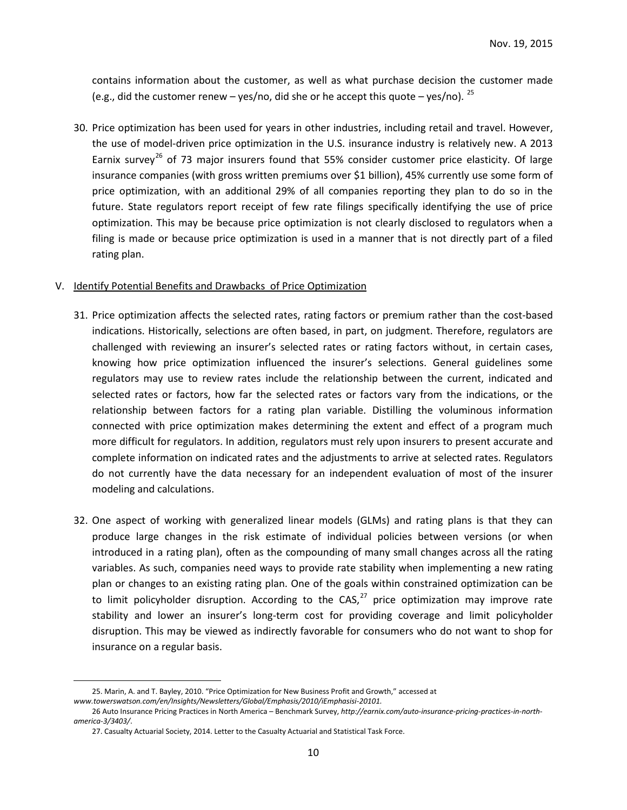contains information about the customer, as well as what purchase decision the customer made (e.g., did the customer renew – yes/no, did she or he accept this quote – yes/no).  $^{25}$  $^{25}$  $^{25}$ 

30. Price optimization has been used for years in other industries, including retail and travel. However, the use of model-driven price optimization in the U.S. insurance industry is relatively new. A 2013 Earnix survey<sup>[26](#page-9-1)</sup> of 73 major insurers found that 55% consider customer price elasticity. Of large insurance companies (with gross written premiums over \$1 billion), 45% currently use some form of price optimization, with an additional 29% of all companies reporting they plan to do so in the future. State regulators report receipt of few rate filings specifically identifying the use of price optimization. This may be because price optimization is not clearly disclosed to regulators when a filing is made or because price optimization is used in a manner that is not directly part of a filed rating plan.

#### V. Identify Potential Benefits and Drawbacks of Price Optimization

- 31. Price optimization affects the selected rates, rating factors or premium rather than the cost-based indications. Historically, selections are often based, in part, on judgment. Therefore, regulators are challenged with reviewing an insurer's selected rates or rating factors without, in certain cases, knowing how price optimization influenced the insurer's selections. General guidelines some regulators may use to review rates include the relationship between the current, indicated and selected rates or factors, how far the selected rates or factors vary from the indications, or the relationship between factors for a rating plan variable. Distilling the voluminous information connected with price optimization makes determining the extent and effect of a program much more difficult for regulators. In addition, regulators must rely upon insurers to present accurate and complete information on indicated rates and the adjustments to arrive at selected rates. Regulators do not currently have the data necessary for an independent evaluation of most of the insurer modeling and calculations.
- 32. One aspect of working with generalized linear models (GLMs) and rating plans is that they can produce large changes in the risk estimate of individual policies between versions (or when introduced in a rating plan), often as the compounding of many small changes across all the rating variables. As such, companies need ways to provide rate stability when implementing a new rating plan or changes to an existing rating plan. One of the goals within constrained optimization can be to limit policyholder disruption. According to the CAS, $^{27}$  $^{27}$  $^{27}$  price optimization may improve rate stability and lower an insurer's long-term cost for providing coverage and limit policyholder disruption. This may be viewed as indirectly favorable for consumers who do not want to shop for insurance on a regular basis.

<span id="page-9-0"></span> <sup>25.</sup> Marin, A. and T. Bayley, 2010. "Price Optimization for New Business Profit and Growth," accessed at *www.towerswatson.com/en/Insights/Newsletters/Global/Emphasis/2010/iEmphasisi-20101.*

<span id="page-9-2"></span><span id="page-9-1"></span><sup>26</sup> Auto Insurance Pricing Practices in North America – Benchmark Survey, *http://earnix.com/auto-insurance-pricing-practices-in-northamerica-3/3403/*.

<sup>27.</sup> Casualty Actuarial Society, 2014. Letter to the Casualty Actuarial and Statistical Task Force.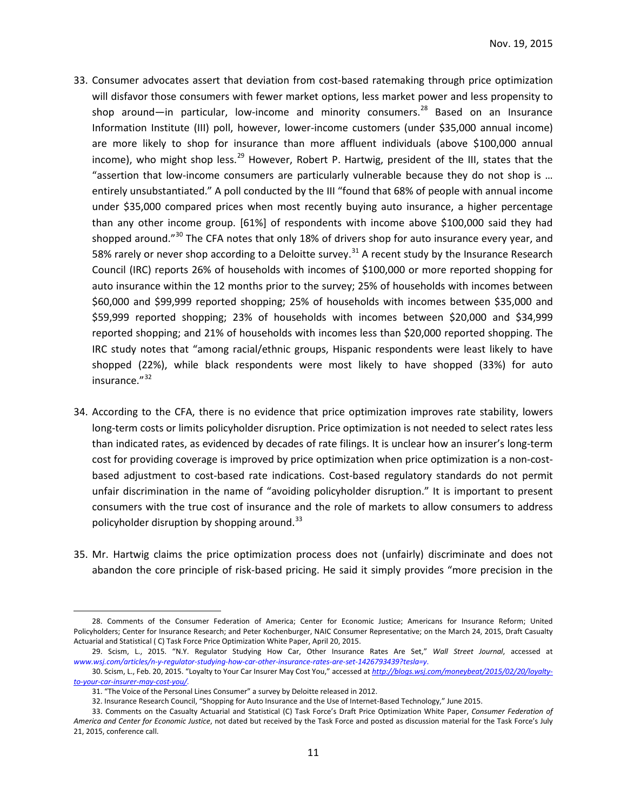- 33. Consumer advocates assert that deviation from cost-based ratemaking through price optimization will disfavor those consumers with fewer market options, less market power and less propensity to shop around—in particular, low-income and minority consumers.<sup>[28](#page-10-0)</sup> Based on an Insurance Information Institute (III) poll, however, lower-income customers (under \$35,000 annual income) are more likely to shop for insurance than more affluent individuals (above \$100,000 annual income), who might shop less.<sup>[29](#page-10-1)</sup> However, Robert P. Hartwig, president of the III, states that the "assertion that low-income consumers are particularly vulnerable because they do not shop is … entirely unsubstantiated." A poll conducted by the III "found that 68% of people with annual income under \$35,000 compared prices when most recently buying auto insurance, a higher percentage than any other income group. [61%] of respondents with income above \$100,000 said they had shopped around."<sup>[30](#page-10-2)</sup> The CFA notes that only 18% of drivers shop for auto insurance every year, and 58% rarely or never shop according to a Deloitte survey.<sup>[31](#page-10-3)</sup> A recent study by the Insurance Research Council (IRC) reports 26% of households with incomes of \$100,000 or more reported shopping for auto insurance within the 12 months prior to the survey; 25% of households with incomes between \$60,000 and \$99,999 reported shopping; 25% of households with incomes between \$35,000 and \$59,999 reported shopping; 23% of households with incomes between \$20,000 and \$34,999 reported shopping; and 21% of households with incomes less than \$20,000 reported shopping. The IRC study notes that "among racial/ethnic groups, Hispanic respondents were least likely to have shopped (22%), while black respondents were most likely to have shopped (33%) for auto insurance."<sup>[32](#page-10-4)</sup>
- 34. According to the CFA, there is no evidence that price optimization improves rate stability, lowers long-term costs or limits policyholder disruption. Price optimization is not needed to select rates less than indicated rates, as evidenced by decades of rate filings. It is unclear how an insurer's long-term cost for providing coverage is improved by price optimization when price optimization is a non-costbased adjustment to cost-based rate indications. Cost-based regulatory standards do not permit unfair discrimination in the name of "avoiding policyholder disruption." It is important to present consumers with the true cost of insurance and the role of markets to allow consumers to address policyholder disruption by shopping around.<sup>[33](#page-10-5)</sup>
- 35. Mr. Hartwig claims the price optimization process does not (unfairly) discriminate and does not abandon the core principle of risk-based pricing. He said it simply provides "more precision in the

<span id="page-10-0"></span> <sup>28.</sup> Comments of the Consumer Federation of America; Center for Economic Justice; Americans for Insurance Reform; United Policyholders; Center for Insurance Research; and Peter Kochenburger, NAIC Consumer Representative; on the March 24, 2015, Draft Casualty Actuarial and Statistical ( C) Task Force Price Optimization White Paper, April 20, 2015.

<span id="page-10-1"></span><sup>29.</sup> Scism, L., 2015. "N.Y. Regulator Studying How Car, Other Insurance Rates Are Set," *Wall Street Journal*, accessed at *www.wsj.com/articles/n-y-regulator-studying-how-car-other-insurance-rates-are-set-1426793439?tesla=y*.

<span id="page-10-3"></span><span id="page-10-2"></span><sup>30.</sup> Scism, L., Feb. 20, 2015. "Loyalty to Your Car Insurer May Cost You," accessed at *[http://blogs.wsj.com/moneybeat/2015/02/20/loyalty](http://blogs.wsj.com/moneybeat/2015/02/20/loyalty-to-your-car-insurer-may-cost-you/)[to-your-car-insurer-may-cost-you/.](http://blogs.wsj.com/moneybeat/2015/02/20/loyalty-to-your-car-insurer-may-cost-you/)*

<sup>31.</sup> "The Voice of the Personal Lines Consumer" a survey by Deloitte released in 2012.

<sup>32.</sup> Insurance Research Council, "Shopping for Auto Insurance and the Use of Internet-Based Technology," June 2015.

<span id="page-10-5"></span><span id="page-10-4"></span><sup>33.</sup> Comments on the Casualty Actuarial and Statistical (C) Task Force's Draft Price Optimization White Paper, *Consumer Federation of America and Center for Economic Justice*, not dated but received by the Task Force and posted as discussion material for the Task Force's July 21, 2015, conference call.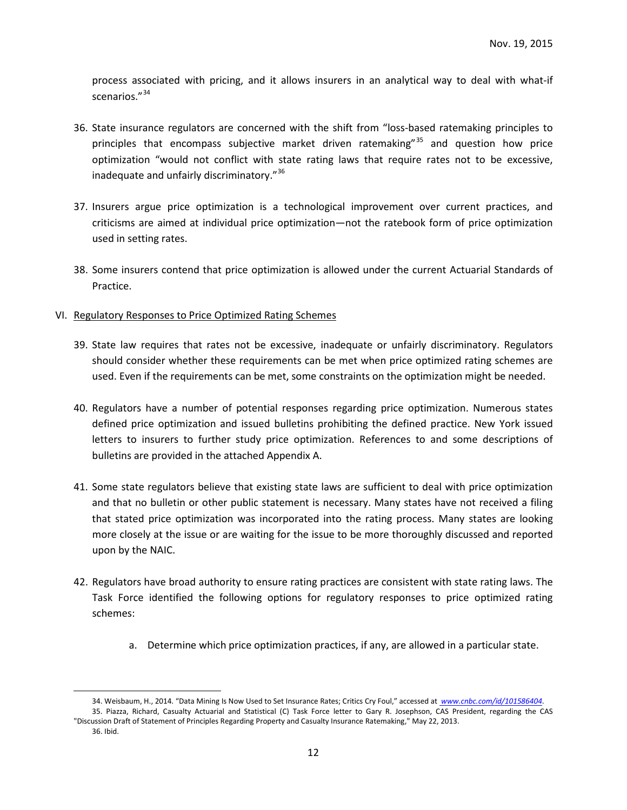process associated with pricing, and it allows insurers in an analytical way to deal with what-if scenarios."<sup>[34](#page-11-0)</sup>

- 36. State insurance regulators are concerned with the shift from "loss-based ratemaking principles to principles that encompass subjective market driven ratemaking"<sup>[35](#page-11-1)</sup> and question how price optimization "would not conflict with state rating laws that require rates not to be excessive, inadequate and unfairly discriminatory."<sup>[36](#page-11-2)</sup>
- 37. Insurers argue price optimization is a technological improvement over current practices, and criticisms are aimed at individual price optimization—not the ratebook form of price optimization used in setting rates.
- 38. Some insurers contend that price optimization is allowed under the current Actuarial Standards of Practice.
- VI. Regulatory Responses to Price Optimized Rating Schemes
	- 39. State law requires that rates not be excessive, inadequate or unfairly discriminatory. Regulators should consider whether these requirements can be met when price optimized rating schemes are used. Even if the requirements can be met, some constraints on the optimization might be needed.
	- 40. Regulators have a number of potential responses regarding price optimization. Numerous states defined price optimization and issued bulletins prohibiting the defined practice. New York issued letters to insurers to further study price optimization. References to and some descriptions of bulletins are provided in the attached Appendix A.
	- 41. Some state regulators believe that existing state laws are sufficient to deal with price optimization and that no bulletin or other public statement is necessary. Many states have not received a filing that stated price optimization was incorporated into the rating process. Many states are looking more closely at the issue or are waiting for the issue to be more thoroughly discussed and reported upon by the NAIC.
	- 42. Regulators have broad authority to ensure rating practices are consistent with state rating laws. The Task Force identified the following options for regulatory responses to price optimized rating schemes:
		- a. Determine which price optimization practices, if any, are allowed in a particular state.

<span id="page-11-0"></span> <sup>34.</sup> Weisbaum, H., 2014. "Data Mining Is Now Used to Set Insurance Rates; Critics Cry Foul," accessed at *www.cnbc.com/id/101586404*. 35. Piazza, Richard, Casualty Actuarial and Statistical (C) Task Force letter to Gary R. Josephson, CAS President, regarding the CAS

<span id="page-11-2"></span><span id="page-11-1"></span><sup>&</sup>quot;Discussion Draft of Statement of Principles Regarding Property and Casualty Insurance Ratemaking," May 22, 2013. 36. Ibid.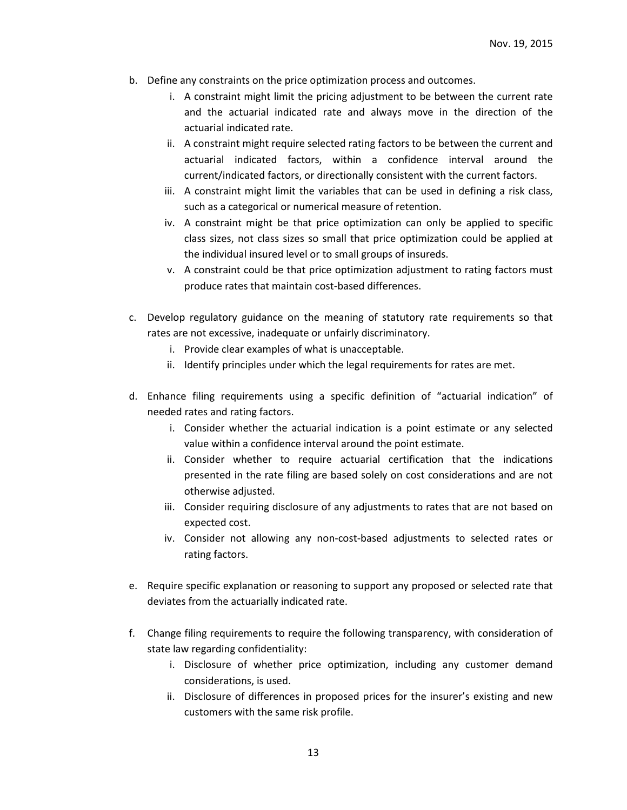- b. Define any constraints on the price optimization process and outcomes.
	- i. A constraint might limit the pricing adjustment to be between the current rate and the actuarial indicated rate and always move in the direction of the actuarial indicated rate.
	- ii. A constraint might require selected rating factors to be between the current and actuarial indicated factors, within a confidence interval around the current/indicated factors, or directionally consistent with the current factors.
	- iii. A constraint might limit the variables that can be used in defining a risk class, such as a categorical or numerical measure of retention.
	- iv. A constraint might be that price optimization can only be applied to specific class sizes, not class sizes so small that price optimization could be applied at the individual insured level or to small groups of insureds.
	- v. A constraint could be that price optimization adjustment to rating factors must produce rates that maintain cost-based differences.
- c. Develop regulatory guidance on the meaning of statutory rate requirements so that rates are not excessive, inadequate or unfairly discriminatory.
	- i. Provide clear examples of what is unacceptable.
	- ii. Identify principles under which the legal requirements for rates are met.
- d. Enhance filing requirements using a specific definition of "actuarial indication" of needed rates and rating factors.
	- i. Consider whether the actuarial indication is a point estimate or any selected value within a confidence interval around the point estimate.
	- ii. Consider whether to require actuarial certification that the indications presented in the rate filing are based solely on cost considerations and are not otherwise adjusted.
	- iii. Consider requiring disclosure of any adjustments to rates that are not based on expected cost.
	- iv. Consider not allowing any non-cost-based adjustments to selected rates or rating factors.
- e. Require specific explanation or reasoning to support any proposed or selected rate that deviates from the actuarially indicated rate.
- f. Change filing requirements to require the following transparency, with consideration of state law regarding confidentiality:
	- i. Disclosure of whether price optimization, including any customer demand considerations, is used.
	- ii. Disclosure of differences in proposed prices for the insurer's existing and new customers with the same risk profile.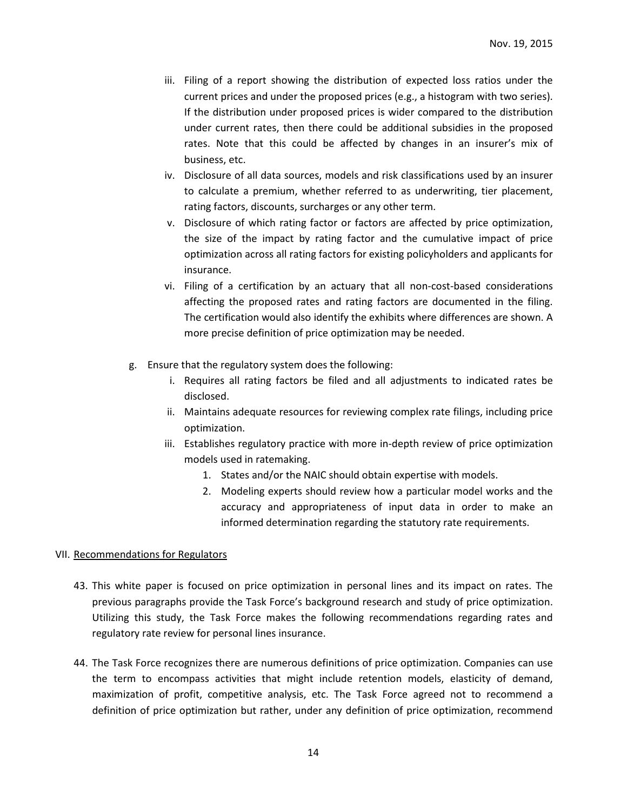- iii. Filing of a report showing the distribution of expected loss ratios under the current prices and under the proposed prices (e.g., a histogram with two series). If the distribution under proposed prices is wider compared to the distribution under current rates, then there could be additional subsidies in the proposed rates. Note that this could be affected by changes in an insurer's mix of business, etc.
- iv. Disclosure of all data sources, models and risk classifications used by an insurer to calculate a premium, whether referred to as underwriting, tier placement, rating factors, discounts, surcharges or any other term.
- v. Disclosure of which rating factor or factors are affected by price optimization, the size of the impact by rating factor and the cumulative impact of price optimization across all rating factors for existing policyholders and applicants for insurance.
- vi. Filing of a certification by an actuary that all non-cost-based considerations affecting the proposed rates and rating factors are documented in the filing. The certification would also identify the exhibits where differences are shown. A more precise definition of price optimization may be needed.
- g. Ensure that the regulatory system does the following:
	- i. Requires all rating factors be filed and all adjustments to indicated rates be disclosed.
	- ii. Maintains adequate resources for reviewing complex rate filings, including price optimization.
	- iii. Establishes regulatory practice with more in-depth review of price optimization models used in ratemaking.
		- 1. States and/or the NAIC should obtain expertise with models.
		- 2. Modeling experts should review how a particular model works and the accuracy and appropriateness of input data in order to make an informed determination regarding the statutory rate requirements.

## VII. Recommendations for Regulators

- 43. This white paper is focused on price optimization in personal lines and its impact on rates. The previous paragraphs provide the Task Force's background research and study of price optimization. Utilizing this study, the Task Force makes the following recommendations regarding rates and regulatory rate review for personal lines insurance.
- 44. The Task Force recognizes there are numerous definitions of price optimization. Companies can use the term to encompass activities that might include retention models, elasticity of demand, maximization of profit, competitive analysis, etc. The Task Force agreed not to recommend a definition of price optimization but rather, under any definition of price optimization, recommend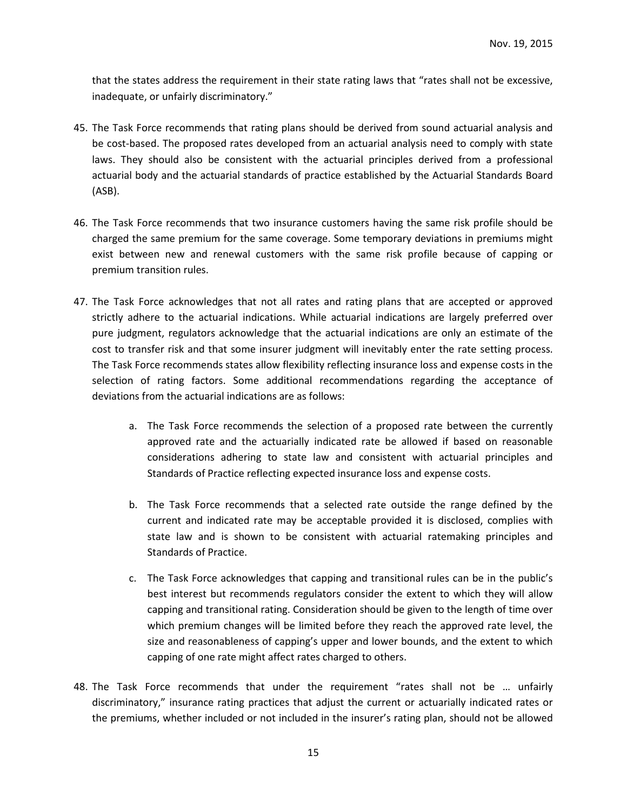that the states address the requirement in their state rating laws that "rates shall not be excessive, inadequate, or unfairly discriminatory."

- 45. The Task Force recommends that rating plans should be derived from sound actuarial analysis and be cost-based. The proposed rates developed from an actuarial analysis need to comply with state laws. They should also be consistent with the actuarial principles derived from a professional actuarial body and the actuarial standards of practice established by the Actuarial Standards Board (ASB).
- 46. The Task Force recommends that two insurance customers having the same risk profile should be charged the same premium for the same coverage. Some temporary deviations in premiums might exist between new and renewal customers with the same risk profile because of capping or premium transition rules.
- 47. The Task Force acknowledges that not all rates and rating plans that are accepted or approved strictly adhere to the actuarial indications. While actuarial indications are largely preferred over pure judgment, regulators acknowledge that the actuarial indications are only an estimate of the cost to transfer risk and that some insurer judgment will inevitably enter the rate setting process. The Task Force recommends states allow flexibility reflecting insurance loss and expense costs in the selection of rating factors. Some additional recommendations regarding the acceptance of deviations from the actuarial indications are as follows:
	- a. The Task Force recommends the selection of a proposed rate between the currently approved rate and the actuarially indicated rate be allowed if based on reasonable considerations adhering to state law and consistent with actuarial principles and Standards of Practice reflecting expected insurance loss and expense costs.
	- b. The Task Force recommends that a selected rate outside the range defined by the current and indicated rate may be acceptable provided it is disclosed, complies with state law and is shown to be consistent with actuarial ratemaking principles and Standards of Practice.
	- c. The Task Force acknowledges that capping and transitional rules can be in the public's best interest but recommends regulators consider the extent to which they will allow capping and transitional rating. Consideration should be given to the length of time over which premium changes will be limited before they reach the approved rate level, the size and reasonableness of capping's upper and lower bounds, and the extent to which capping of one rate might affect rates charged to others.
- 48. The Task Force recommends that under the requirement "rates shall not be … unfairly discriminatory," insurance rating practices that adjust the current or actuarially indicated rates or the premiums, whether included or not included in the insurer's rating plan, should not be allowed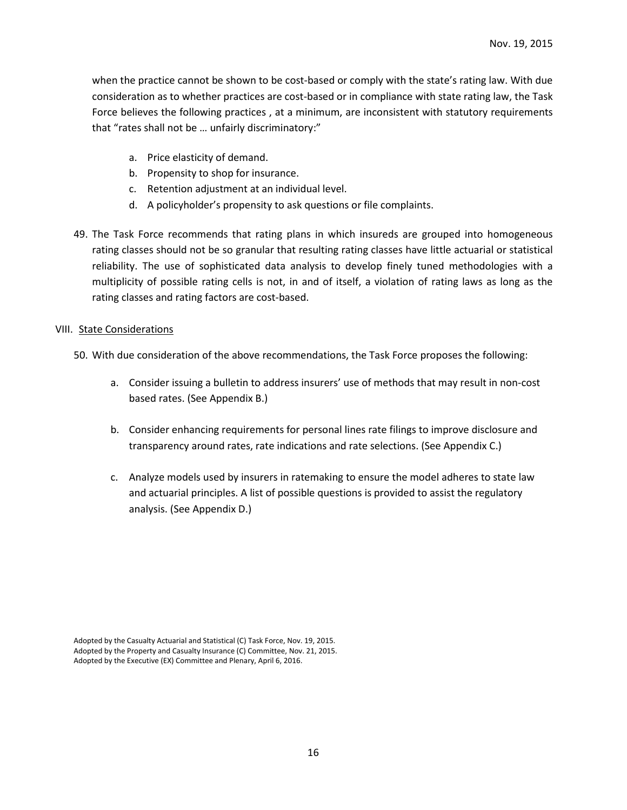when the practice cannot be shown to be cost-based or comply with the state's rating law. With due consideration as to whether practices are cost-based or in compliance with state rating law, the Task Force believes the following practices , at a minimum, are inconsistent with statutory requirements that "rates shall not be … unfairly discriminatory:"

- a. Price elasticity of demand.
- b. Propensity to shop for insurance.
- c. Retention adjustment at an individual level.
- d. A policyholder's propensity to ask questions or file complaints.
- 49. The Task Force recommends that rating plans in which insureds are grouped into homogeneous rating classes should not be so granular that resulting rating classes have little actuarial or statistical reliability. The use of sophisticated data analysis to develop finely tuned methodologies with a multiplicity of possible rating cells is not, in and of itself, a violation of rating laws as long as the rating classes and rating factors are cost-based.

#### VIII. State Considerations

- 50. With due consideration of the above recommendations, the Task Force proposes the following:
	- a. Consider issuing a bulletin to address insurers' use of methods that may result in non-cost based rates. (See Appendix B.)
	- b. Consider enhancing requirements for personal lines rate filings to improve disclosure and transparency around rates, rate indications and rate selections. (See Appendix C.)
	- c. Analyze models used by insurers in ratemaking to ensure the model adheres to state law and actuarial principles. A list of possible questions is provided to assist the regulatory analysis. (See Appendix D.)

Adopted by the Casualty Actuarial and Statistical (C) Task Force, Nov. 19, 2015. Adopted by the Property and Casualty Insurance (C) Committee, Nov. 21, 2015. Adopted by the Executive (EX) Committee and Plenary, April 6, 2016.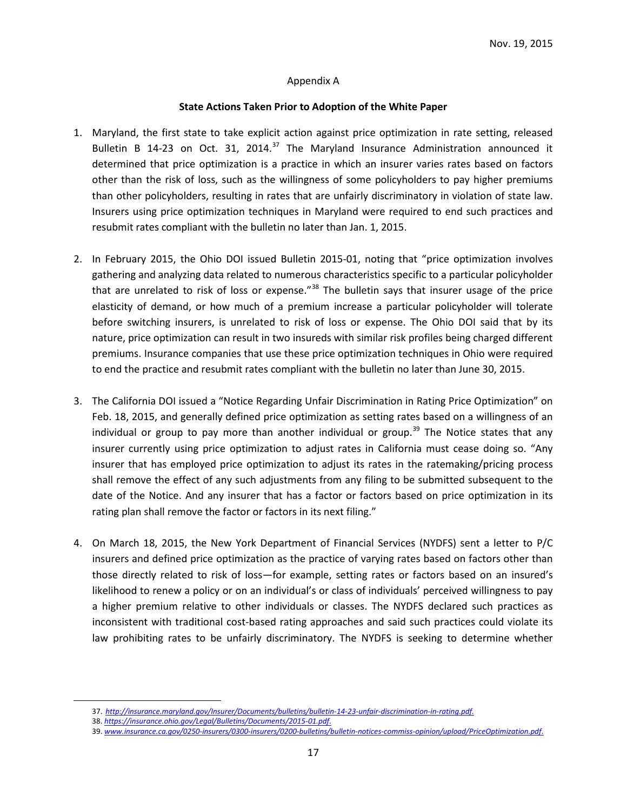#### Appendix A

#### **State Actions Taken Prior to Adoption of the White Paper**

- 1. Maryland, the first state to take explicit action against price optimization in rate setting, released Bulletin B 14-23 on Oct. 31, 2014.<sup>[37](#page-16-0)</sup> The Maryland Insurance Administration announced it determined that price optimization is a practice in which an insurer varies rates based on factors other than the risk of loss, such as the willingness of some policyholders to pay higher premiums than other policyholders, resulting in rates that are unfairly discriminatory in violation of state law. Insurers using price optimization techniques in Maryland were required to end such practices and resubmit rates compliant with the bulletin no later than Jan. 1, 2015.
- 2. In February 2015, the Ohio DOI issued Bulletin 2015-01, noting that "price optimization involves gathering and analyzing data related to numerous characteristics specific to a particular policyholder that are unrelated to risk of loss or expense."<sup>[38](#page-16-1)</sup> The bulletin says that insurer usage of the price elasticity of demand, or how much of a premium increase a particular policyholder will tolerate before switching insurers, is unrelated to risk of loss or expense. The Ohio DOI said that by its nature, price optimization can result in two insureds with similar risk profiles being charged different premiums. Insurance companies that use these price optimization techniques in Ohio were required to end the practice and resubmit rates compliant with the bulletin no later than June 30, 2015.
- 3. The California DOI issued a "Notice Regarding Unfair Discrimination in Rating Price Optimization" on Feb. 18, 2015, and generally defined price optimization as setting rates based on a willingness of an individual or group to pay more than another individual or group.<sup>[39](#page-16-2)</sup> The Notice states that any insurer currently using price optimization to adjust rates in California must cease doing so. "Any insurer that has employed price optimization to adjust its rates in the ratemaking/pricing process shall remove the effect of any such adjustments from any filing to be submitted subsequent to the date of the Notice. And any insurer that has a factor or factors based on price optimization in its rating plan shall remove the factor or factors in its next filing."
- 4. On March 18, 2015, the New York Department of Financial Services (NYDFS) sent a letter to P/C insurers and defined price optimization as the practice of varying rates based on factors other than those directly related to risk of loss—for example, setting rates or factors based on an insured's likelihood to renew a policy or on an individual's or class of individuals' perceived willingness to pay a higher premium relative to other individuals or classes. The NYDFS declared such practices as inconsistent with traditional cost-based rating approaches and said such practices could violate its law prohibiting rates to be unfairly discriminatory. The NYDFS is seeking to determine whether

 <sup>37.</sup> *[http://insurance.maryland.gov/Insurer/Documents/bulletins/bulletin-14-23-unfair-discrimination-in-rating.pdf.](http://insurance.maryland.gov/Insurer/Documents/bulletins/bulletin-14-23-unfair-discrimination-in-rating.pdf)*

<span id="page-16-2"></span><span id="page-16-1"></span><span id="page-16-0"></span><sup>38.</sup> *<https://insurance.ohio.gov/Legal/Bulletins/Documents/2015-01.pdf>*.

<sup>39.</sup> *[www.insurance.ca.gov/0250-insurers/0300-insurers/0200-bulletins/bulletin-notices-commiss-opinion/upload/PriceOptimization.pdf](http://www.insurance.ca.gov/0250-insurers/0300-insurers/0200-bulletins/bulletin-notices-commiss-opinion/upload/PriceOptimization.pdf)*.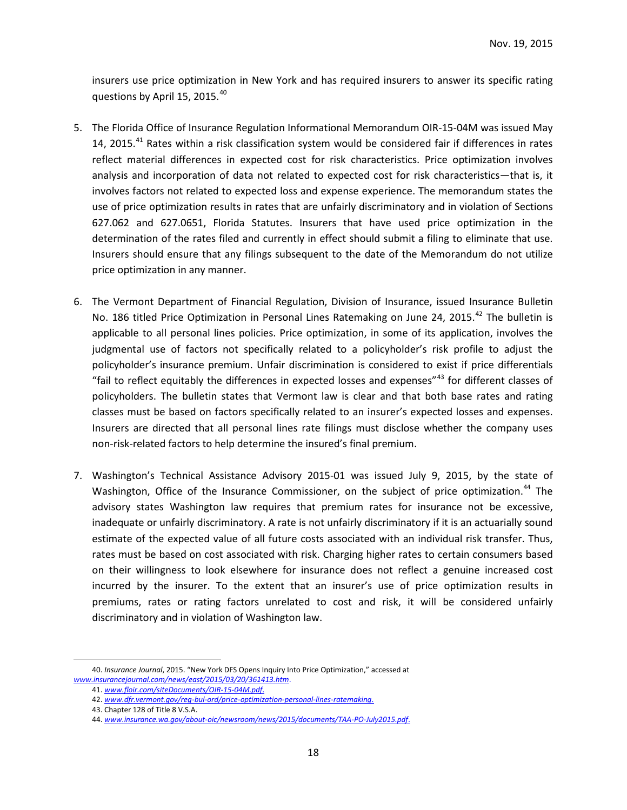insurers use price optimization in New York and has required insurers to answer its specific rating questions by April 15, 2015. $40$ 

- 5. The Florida Office of Insurance Regulation Informational Memorandum OIR-15-04M was issued May 14, 2015.<sup>[41](#page-17-1)</sup> Rates within a risk classification system would be considered fair if differences in rates reflect material differences in expected cost for risk characteristics. Price optimization involves analysis and incorporation of data not related to expected cost for risk characteristics—that is, it involves factors not related to expected loss and expense experience. The memorandum states the use of price optimization results in rates that are unfairly discriminatory and in violation of Sections 627.062 and 627.0651, Florida Statutes. Insurers that have used price optimization in the determination of the rates filed and currently in effect should submit a filing to eliminate that use. Insurers should ensure that any filings subsequent to the date of the Memorandum do not utilize price optimization in any manner.
- 6. The Vermont Department of Financial Regulation, Division of Insurance, issued Insurance Bulletin No. 186 titled Price Optimization in Personal Lines Ratemaking on June 24, 2015.<sup>[42](#page-17-2)</sup> The bulletin is applicable to all personal lines policies. Price optimization, in some of its application, involves the judgmental use of factors not specifically related to a policyholder's risk profile to adjust the policyholder's insurance premium. Unfair discrimination is considered to exist if price differentials "fail to reflect equitably the differences in expected losses and expenses" $43$  for different classes of policyholders. The bulletin states that Vermont law is clear and that both base rates and rating classes must be based on factors specifically related to an insurer's expected losses and expenses. Insurers are directed that all personal lines rate filings must disclose whether the company uses non-risk-related factors to help determine the insured's final premium.
- 7. Washington's Technical Assistance Advisory 2015-01 was issued July 9, 2015, by the state of Washington, Office of the Insurance Commissioner, on the subject of price optimization.<sup>[44](#page-17-4)</sup> The advisory states Washington law requires that premium rates for insurance not be excessive, inadequate or unfairly discriminatory. A rate is not unfairly discriminatory if it is an actuarially sound estimate of the expected value of all future costs associated with an individual risk transfer. Thus, rates must be based on cost associated with risk. Charging higher rates to certain consumers based on their willingness to look elsewhere for insurance does not reflect a genuine increased cost incurred by the insurer. To the extent that an insurer's use of price optimization results in premiums, rates or rating factors unrelated to cost and risk, it will be considered unfairly discriminatory and in violation of Washington law.

<span id="page-17-4"></span><span id="page-17-3"></span><span id="page-17-2"></span><span id="page-17-1"></span><span id="page-17-0"></span> <sup>40.</sup> *Insurance Journal*, 2015. "New York DFS Opens Inquiry Into Price Optimization," accessed at *www.insurancejournal.com/news/east/2015/03/20/361413.htm*.

<sup>41.</sup> *[www.floir.com/siteDocuments/OIR-15-04M.pdf](http://www.floir.com/siteDocuments/OIR-15-04M.pdf)*.

<sup>42.</sup> *[www.dfr.vermont.gov/reg-bul-ord/price-optimization-personal-lines-ratemaking](http://www.dfr.vermont.gov/reg-bul-ord/price-optimization-personal-lines-ratemaking)*.

<sup>43.</sup> Chapter 128 of Title 8 V.S.A.

<sup>44.</sup> *[www.insurance.wa.gov/about-oic/newsroom/news/2015/documents/TAA-PO-July2015.pdf](http://www.insurance.wa.gov/about-oic/newsroom/news/2015/documents/TAA-PO-July2015.pdf)*.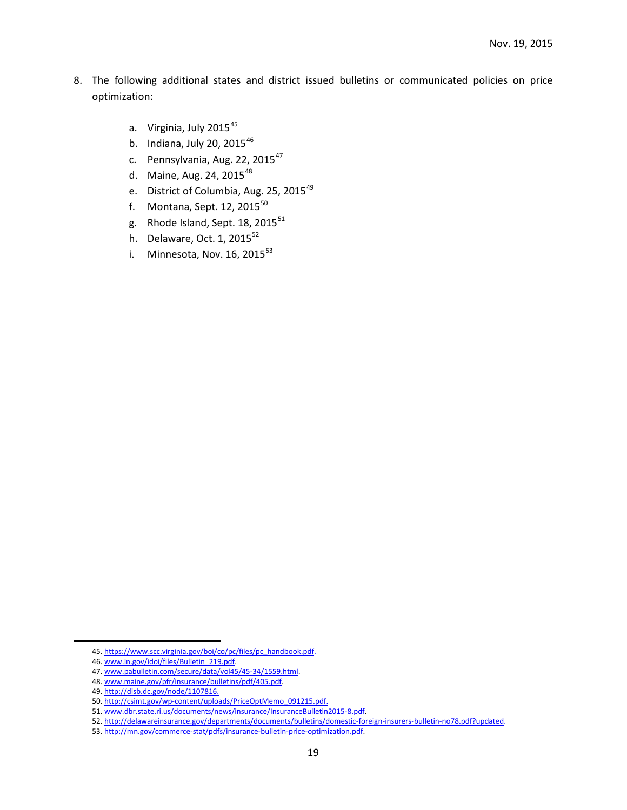- 8. The following additional states and district issued bulletins or communicated policies on price optimization:
	- a. Virginia, July 2015<sup>[45](#page-18-0)</sup>
	- b. Indiana, July 20,  $2015^{46}$  $2015^{46}$  $2015^{46}$
	- c. Pennsylvania, Aug. 22, 2015<sup>[47](#page-18-2)</sup>
	- d. Maine, Aug. 24,  $2015^{48}$  $2015^{48}$  $2015^{48}$
	- e. District of Columbia, Aug. 25, 2015<sup>[49](#page-18-4)</sup>
	- f. Montana, Sept. 12, 2015 $^{50}$  $^{50}$  $^{50}$
	- g. Rhode Island, Sept.  $18$ , 2015 $^{51}$  $^{51}$  $^{51}$
	- h. Delaware, Oct.  $1, 2015^{52}$  $1, 2015^{52}$  $1, 2015^{52}$
	- i. Minnesota, Nov.  $16, 2015^{53}$  $16, 2015^{53}$  $16, 2015^{53}$

<span id="page-18-0"></span> <sup>45.</sup> [https://www.scc.virginia.gov/boi/co/pc/files/pc\\_handbook.pdf.](https://www.scc.virginia.gov/boi/co/pc/files/pc_handbook.pdf)

<span id="page-18-1"></span><sup>46</sup>. www.in.gov/idoi/files/Bulletin\_219.pdf.

<span id="page-18-2"></span><sup>47</sup>. www.pabulletin.com/secure/data/vol45/45-34/1559.html.

<span id="page-18-3"></span><sup>48</sup>. www.maine.gov/pfr/insurance/bulletins/pdf/405.pdf.

<span id="page-18-4"></span><sup>49</sup>[. http://disb.dc.gov/node/1107816.](http://disb.dc.gov/node/1107816)

<span id="page-18-5"></span><sup>50</sup>[. http://csimt.gov/wp-content/uploads/PriceOptMemo\\_091215.pdf.](http://csimt.gov/wp-content/uploads/PriceOptMemo_091215.pdf)

<span id="page-18-6"></span><sup>51</sup>. www.dbr.state.ri.us/documents/news/insurance/InsuranceBulletin2015-8.pdf.

<span id="page-18-7"></span><sup>52</sup>[. http://delawareinsurance.gov/departments/documents/bulletins/domestic-foreign-insurers-bulletin-no78.pdf?updated.](http://delawareinsurance.gov/departments/documents/bulletins/domestic-foreign-insurers-bulletin-no78.pdf?updated)

<span id="page-18-8"></span><sup>53</sup>[. http://mn.gov/commerce-stat/pdfs/insurance-bulletin-price-optimization.pdf.](http://mn.gov/commerce-stat/pdfs/insurance-bulletin-price-optimization.pdf)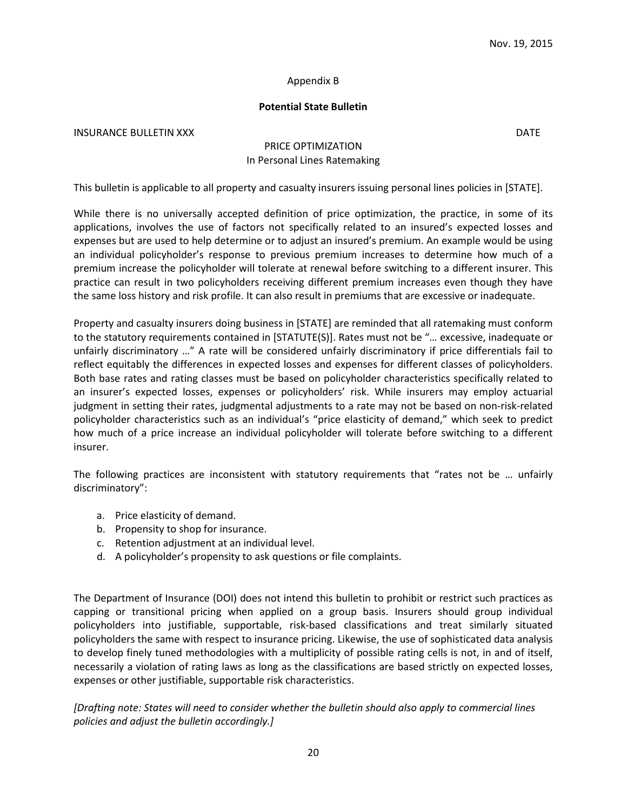#### Appendix B

#### **Potential State Bulletin**

**INSURANCE BULLETIN XXX** DATE

## PRICE OPTIMIZATION In Personal Lines Ratemaking

This bulletin is applicable to all property and casualty insurers issuing personal lines policies in [STATE].

While there is no universally accepted definition of price optimization, the practice, in some of its applications, involves the use of factors not specifically related to an insured's expected losses and expenses but are used to help determine or to adjust an insured's premium. An example would be using an individual policyholder's response to previous premium increases to determine how much of a premium increase the policyholder will tolerate at renewal before switching to a different insurer. This practice can result in two policyholders receiving different premium increases even though they have the same loss history and risk profile. It can also result in premiums that are excessive or inadequate.

Property and casualty insurers doing business in [STATE] are reminded that all ratemaking must conform to the statutory requirements contained in [STATUTE(S)]. Rates must not be "… excessive, inadequate or unfairly discriminatory …" A rate will be considered unfairly discriminatory if price differentials fail to reflect equitably the differences in expected losses and expenses for different classes of policyholders. Both base rates and rating classes must be based on policyholder characteristics specifically related to an insurer's expected losses, expenses or policyholders' risk. While insurers may employ actuarial judgment in setting their rates, judgmental adjustments to a rate may not be based on non-risk-related policyholder characteristics such as an individual's "price elasticity of demand," which seek to predict how much of a price increase an individual policyholder will tolerate before switching to a different insurer.

The following practices are inconsistent with statutory requirements that "rates not be … unfairly discriminatory":

- a. Price elasticity of demand.
- b. Propensity to shop for insurance.
- c. Retention adjustment at an individual level.
- d. A policyholder's propensity to ask questions or file complaints.

The Department of Insurance (DOI) does not intend this bulletin to prohibit or restrict such practices as capping or transitional pricing when applied on a group basis. Insurers should group individual policyholders into justifiable, supportable, risk-based classifications and treat similarly situated policyholders the same with respect to insurance pricing. Likewise, the use of sophisticated data analysis to develop finely tuned methodologies with a multiplicity of possible rating cells is not, in and of itself, necessarily a violation of rating laws as long as the classifications are based strictly on expected losses, expenses or other justifiable, supportable risk characteristics.

*[Drafting note: States will need to consider whether the bulletin should also apply to commercial lines policies and adjust the bulletin accordingly.]*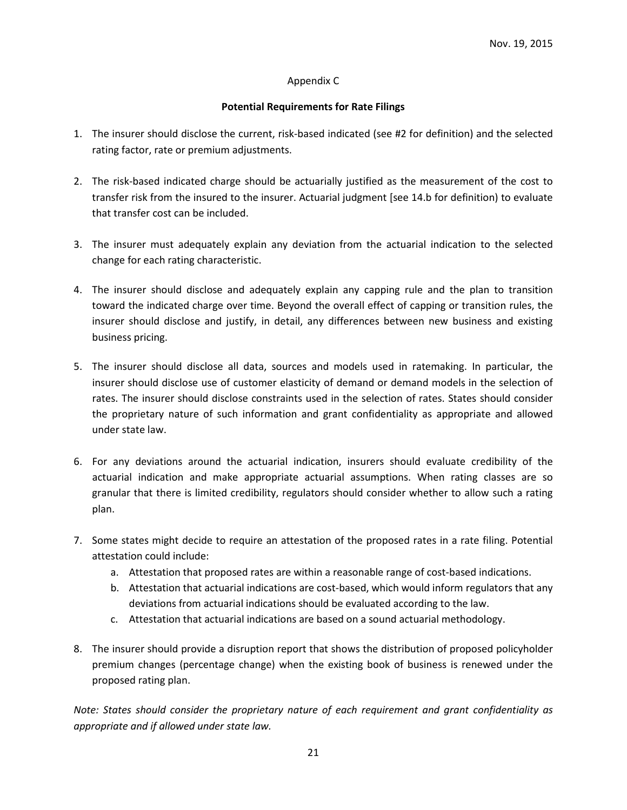#### Appendix C

#### **Potential Requirements for Rate Filings**

- 1. The insurer should disclose the current, risk-based indicated (see #2 for definition) and the selected rating factor, rate or premium adjustments.
- 2. The risk-based indicated charge should be actuarially justified as the measurement of the cost to transfer risk from the insured to the insurer. Actuarial judgment [see 14.b for definition) to evaluate that transfer cost can be included.
- 3. The insurer must adequately explain any deviation from the actuarial indication to the selected change for each rating characteristic.
- 4. The insurer should disclose and adequately explain any capping rule and the plan to transition toward the indicated charge over time. Beyond the overall effect of capping or transition rules, the insurer should disclose and justify, in detail, any differences between new business and existing business pricing.
- 5. The insurer should disclose all data, sources and models used in ratemaking. In particular, the insurer should disclose use of customer elasticity of demand or demand models in the selection of rates. The insurer should disclose constraints used in the selection of rates. States should consider the proprietary nature of such information and grant confidentiality as appropriate and allowed under state law.
- 6. For any deviations around the actuarial indication, insurers should evaluate credibility of the actuarial indication and make appropriate actuarial assumptions. When rating classes are so granular that there is limited credibility, regulators should consider whether to allow such a rating plan.
- 7. Some states might decide to require an attestation of the proposed rates in a rate filing. Potential attestation could include:
	- a. Attestation that proposed rates are within a reasonable range of cost-based indications.
	- b. Attestation that actuarial indications are cost-based, which would inform regulators that any deviations from actuarial indications should be evaluated according to the law.
	- c. Attestation that actuarial indications are based on a sound actuarial methodology.
- 8. The insurer should provide a disruption report that shows the distribution of proposed policyholder premium changes (percentage change) when the existing book of business is renewed under the proposed rating plan.

*Note: States should consider the proprietary nature of each requirement and grant confidentiality as appropriate and if allowed under state law.*